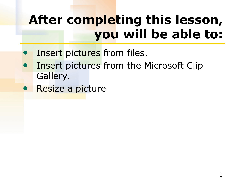## **After completing this lesson, you will be able to:**

- Insert pictures from files.
- Insert pictures from the Microsoft Clip Gallery.
- Resize a picture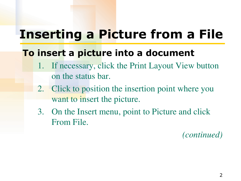### **Inserting a Picture from a File**

### **To insert a picture into a document**

- If necessary, click the Print Layout View button on the status bar.
- 2. Click to position the insertion point where you want to insert the picture.
- 3. On the Insert menu, point to Picture and click From File.

*(continued)*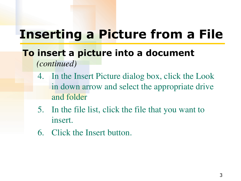### **Inserting a Picture from a File**

#### **To insert a picture into a document**  *(continued)*

- 4. In the Insert Picture dialog box, click the Look in down arrow and select the appropriate drive and folder
- 5. In the file list, click the file that you want to insert.
- 6. Click the Insert button.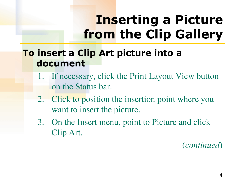### **Inserting a Picture from the Clip Gallery**

### **To insert a Clip Art picture into a document**

- 1. If necessary, click the Print Layout View button on the Status bar.
- 2. Click to position the insertion point where you want to insert the picture.
- 3. On the Insert menu, point to Picture and click Clip Art.

(*continued*)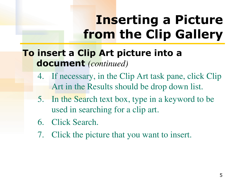## **Inserting a Picture from the Clip Gallery**

#### **To insert a Clip Art picture into a document** *(continued)*

- 4. If necessary, in the Clip Art task pane, click Clip Art in the Results should be drop down list.
- 5. In the Search text box, type in a keyword to be used in searching for a clip art.
- 6. Click Search.
- 7. Click the picture that you want to insert.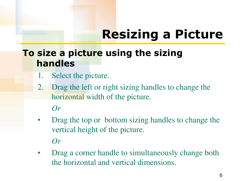# **Resizing a Picture**

#### **To size a picture using the sizing handles**

- 1. Select the picture.
- 2. Drag the left or right sizing handles to change the horizontal width of the picture.

#### *Or*

- Drag the top or bottom sizing handles to change the vertical height of the picture. *Or*
- Drag a corner handle to simultaneously change both the horizontal and vertical dimensions.